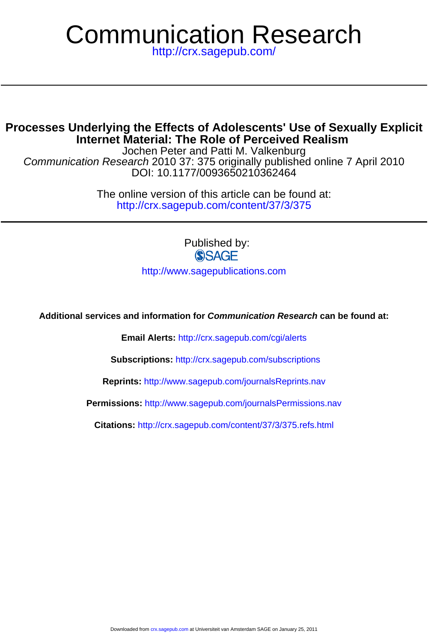# Communication Research

<http://crx.sagepub.com/>

# **Internet Material: The Role of Perceived Realism Processes Underlying the Effects of Adolescents' Use of Sexually Explicit**

DOI: 10.1177/0093650210362464 Communication Research 2010 37: 375 originally published online 7 April 2010 Jochen Peter and Patti M. Valkenburg

> <http://crx.sagepub.com/content/37/3/375> The online version of this article can be found at:

> > Published by: **SSAGE**

<http://www.sagepublications.com>

**Additional services and information for Communication Research can be found at:**

**Email Alerts:** <http://crx.sagepub.com/cgi/alerts>

**Subscriptions:** <http://crx.sagepub.com/subscriptions>

**Reprints:** <http://www.sagepub.com/journalsReprints.nav>

**Permissions:** <http://www.sagepub.com/journalsPermissions.nav>

**Citations:** <http://crx.sagepub.com/content/37/3/375.refs.html>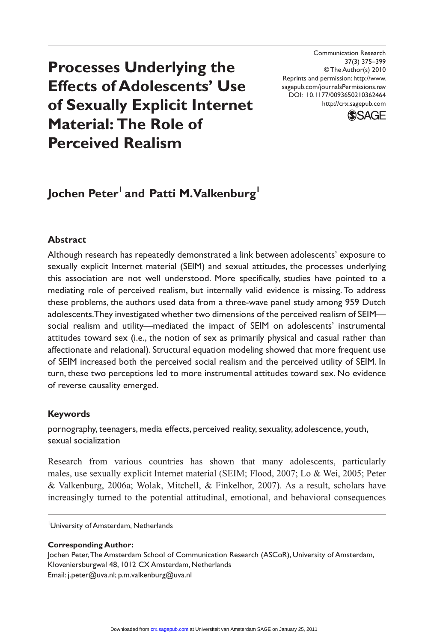# **Processes Underlying the Effects of Adolescents' Use of Sexually Explicit Internet Material: The Role of Perceived Realism**

Communication Research 37(3) 375–399 © The Author(s) 2010 Reprints and permission: http://www. sagepub.com/journalsPermissions.nav DOI: 10.1177/0093650210362464 http://crx.sagepub.com



# Jochen Peter<sup>1</sup> and Patti M. Valkenburg<sup>1</sup>

# **Abstract**

Although research has repeatedly demonstrated a link between adolescents' exposure to sexually explicit Internet material (SEIM) and sexual attitudes, the processes underlying this association are not well understood. More specifically, studies have pointed to a mediating role of perceived realism, but internally valid evidence is missing. To address these problems, the authors used data from a three-wave panel study among 959 Dutch adolescents. They investigated whether two dimensions of the perceived realism of SEIM social realism and utility—mediated the impact of SEIM on adolescents' instrumental attitudes toward sex (i.e., the notion of sex as primarily physical and casual rather than affectionate and relational). Structural equation modeling showed that more frequent use of SEIM increased both the perceived social realism and the perceived utility of SEIM. In turn, these two perceptions led to more instrumental attitudes toward sex. No evidence of reverse causality emerged.

#### **Keywords**

pornography, teenagers, media effects, perceived reality, sexuality, adolescence, youth, sexual socialization

Research from various countries has shown that many adolescents, particularly males, use sexually explicit Internet material (SEIM; Flood, 2007; Lo & Wei, 2005; Peter & Valkenburg, 2006a; Wolak, Mitchell, & Finkelhor, 2007). As a result, scholars have increasingly turned to the potential attitudinal, emotional, and behavioral consequences

University of Amsterdam, Netherlands

**Corresponding Author:**

Jochen Peter, The Amsterdam School of Communication Research (ASCoR), University of Amsterdam, Kloveniersburgwal 48, 1012 CX Amsterdam, Netherlands Email: j.peter@uva.nl; p.m.valkenburg@uva.nl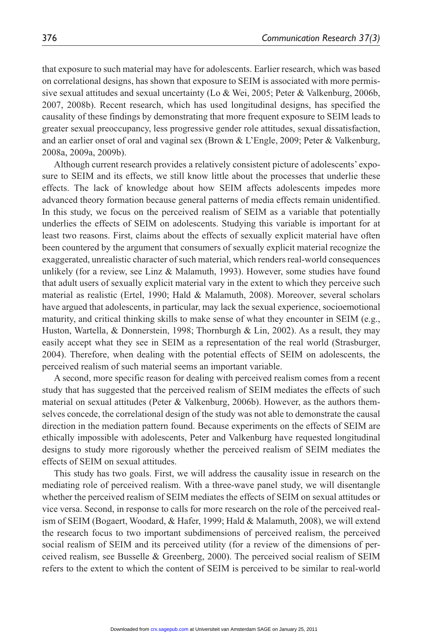that exposure to such material may have for adolescents. Earlier research, which was based on correlational designs, has shown that exposure to SEIM is associated with more permissive sexual attitudes and sexual uncertainty (Lo & Wei, 2005; Peter & Valkenburg, 2006b, 2007, 2008b). Recent research, which has used longitudinal designs, has specified the causality of these findings by demonstrating that more frequent exposure to SEIM leads to greater sexual preoccupancy, less progressive gender role attitudes, sexual dissatisfaction, and an earlier onset of oral and vaginal sex (Brown & L'Engle, 2009; Peter & Valkenburg, 2008a, 2009a, 2009b).

Although current research provides a relatively consistent picture of adolescents' exposure to SEIM and its effects, we still know little about the processes that underlie these effects. The lack of knowledge about how SEIM affects adolescents impedes more advanced theory formation because general patterns of media effects remain unidentified. In this study, we focus on the perceived realism of SEIM as a variable that potentially underlies the effects of SEIM on adolescents. Studying this variable is important for at least two reasons. First, claims about the effects of sexually explicit material have often been countered by the argument that consumers of sexually explicit material recognize the exaggerated, unrealistic character of such material, which renders real-world consequences unlikely (for a review, see Linz & Malamuth, 1993). However, some studies have found that adult users of sexually explicit material vary in the extent to which they perceive such material as realistic (Ertel, 1990; Hald & Malamuth, 2008). Moreover, several scholars have argued that adolescents, in particular, may lack the sexual experience, socioemotional maturity, and critical thinking skills to make sense of what they encounter in SEIM (e.g., Huston, Wartella, & Donnerstein, 1998; Thornburgh & Lin, 2002). As a result, they may easily accept what they see in SEIM as a representation of the real world (Strasburger, 2004). Therefore, when dealing with the potential effects of SEIM on adolescents, the perceived realism of such material seems an important variable.

A second, more specific reason for dealing with perceived realism comes from a recent study that has suggested that the perceived realism of SEIM mediates the effects of such material on sexual attitudes (Peter & Valkenburg, 2006b). However, as the authors themselves concede, the correlational design of the study was not able to demonstrate the causal direction in the mediation pattern found. Because experiments on the effects of SEIM are ethically impossible with adolescents, Peter and Valkenburg have requested longitudinal designs to study more rigorously whether the perceived realism of SEIM mediates the effects of SEIM on sexual attitudes.

This study has two goals. First, we will address the causality issue in research on the mediating role of perceived realism. With a three-wave panel study, we will disentangle whether the perceived realism of SEIM mediates the effects of SEIM on sexual attitudes or vice versa. Second, in response to calls for more research on the role of the perceived realism of SEIM (Bogaert, Woodard, & Hafer, 1999; Hald & Malamuth, 2008), we will extend the research focus to two important subdimensions of perceived realism, the perceived social realism of SEIM and its perceived utility (for a review of the dimensions of perceived realism, see Busselle & Greenberg, 2000). The perceived social realism of SEIM refers to the extent to which the content of SEIM is perceived to be similar to real-world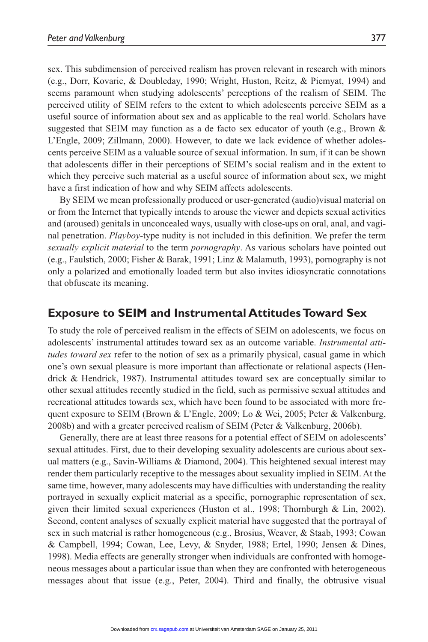sex. This subdimension of perceived realism has proven relevant in research with minors (e.g., Dorr, Kovaric, & Doubleday, 1990; Wright, Huston, Reitz, & Piemyat, 1994) and seems paramount when studying adolescents' perceptions of the realism of SEIM. The perceived utility of SEIM refers to the extent to which adolescents perceive SEIM as a useful source of information about sex and as applicable to the real world. Scholars have suggested that SEIM may function as a de facto sex educator of youth (e.g., Brown & L'Engle, 2009; Zillmann, 2000). However, to date we lack evidence of whether adolescents perceive SEIM as a valuable source of sexual information. In sum, if it can be shown that adolescents differ in their perceptions of SEIM's social realism and in the extent to which they perceive such material as a useful source of information about sex, we might have a first indication of how and why SEIM affects adolescents.

By SEIM we mean professionally produced or user-generated (audio)visual material on or from the Internet that typically intends to arouse the viewer and depicts sexual activities and (aroused) genitals in unconcealed ways, usually with close-ups on oral, anal, and vaginal penetration. *Playboy*-type nudity is not included in this definition. We prefer the term *sexually explicit material* to the term *pornography*. As various scholars have pointed out (e.g., Faulstich, 2000; Fisher & Barak, 1991; Linz & Malamuth, 1993), pornography is not only a polarized and emotionally loaded term but also invites idiosyncratic connotations that obfuscate its meaning.

# **Exposure to SEIM and Instrumental Attitudes Toward Sex**

To study the role of perceived realism in the effects of SEIM on adolescents, we focus on adolescents' instrumental attitudes toward sex as an outcome variable. *Instrumental attitudes toward sex* refer to the notion of sex as a primarily physical, casual game in which one's own sexual pleasure is more important than affectionate or relational aspects (Hendrick & Hendrick, 1987). Instrumental attitudes toward sex are conceptually similar to other sexual attitudes recently studied in the field, such as permissive sexual attitudes and recreational attitudes towards sex, which have been found to be associated with more frequent exposure to SEIM (Brown & L'Engle, 2009; Lo & Wei, 2005; Peter & Valkenburg, 2008b) and with a greater perceived realism of SEIM (Peter & Valkenburg, 2006b).

Generally, there are at least three reasons for a potential effect of SEIM on adolescents' sexual attitudes. First, due to their developing sexuality adolescents are curious about sexual matters (e.g., Savin-Williams & Diamond, 2004). This heightened sexual interest may render them particularly receptive to the messages about sexuality implied in SEIM. At the same time, however, many adolescents may have difficulties with understanding the reality portrayed in sexually explicit material as a specific, pornographic representation of sex, given their limited sexual experiences (Huston et al., 1998; Thornburgh & Lin, 2002). Second, content analyses of sexually explicit material have suggested that the portrayal of sex in such material is rather homogeneous (e.g., Brosius, Weaver, & Staab, 1993; Cowan & Campbell, 1994; Cowan, Lee, Levy, & Snyder, 1988; Ertel, 1990; Jensen & Dines, 1998). Media effects are generally stronger when individuals are confronted with homogeneous messages about a particular issue than when they are confronted with heterogeneous messages about that issue (e.g., Peter, 2004). Third and finally, the obtrusive visual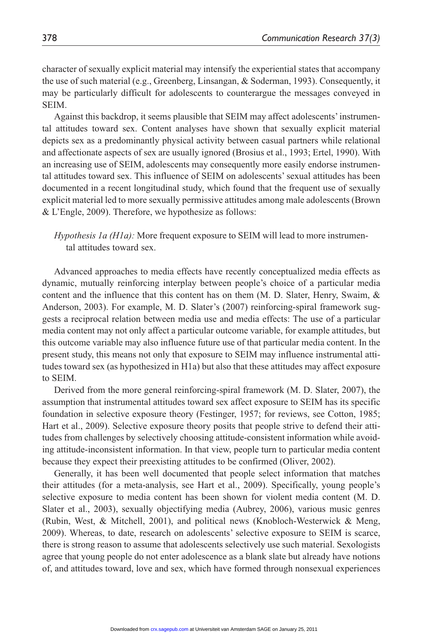character of sexually explicit material may intensify the experiential states that accompany the use of such material (e.g., Greenberg, Linsangan, & Soderman, 1993). Consequently, it may be particularly difficult for adolescents to counterargue the messages conveyed in **SEIM.** 

Against this backdrop, it seems plausible that SEIM may affect adolescents' instrumental attitudes toward sex. Content analyses have shown that sexually explicit material depicts sex as a predominantly physical activity between casual partners while relational and affectionate aspects of sex are usually ignored (Brosius et al., 1993; Ertel, 1990). With an increasing use of SEIM, adolescents may consequently more easily endorse instrumental attitudes toward sex. This influence of SEIM on adolescents' sexual attitudes has been documented in a recent longitudinal study, which found that the frequent use of sexually explicit material led to more sexually permissive attitudes among male adolescents (Brown & L'Engle, 2009). Therefore, we hypothesize as follows:

*Hypothesis 1a (H1a):* More frequent exposure to SEIM will lead to more instrumental attitudes toward sex.

Advanced approaches to media effects have recently conceptualized media effects as dynamic, mutually reinforcing interplay between people's choice of a particular media content and the influence that this content has on them  $(M, D, S)$ later, Henry, Swaim, & Anderson, 2003). For example, M. D. Slater's (2007) reinforcing-spiral framework suggests a reciprocal relation between media use and media effects: The use of a particular media content may not only affect a particular outcome variable, for example attitudes, but this outcome variable may also influence future use of that particular media content. In the present study, this means not only that exposure to SEIM may influence instrumental attitudes toward sex (as hypothesized in H1a) but also that these attitudes may affect exposure to SEIM.

Derived from the more general reinforcing-spiral framework (M. D. Slater, 2007), the assumption that instrumental attitudes toward sex affect exposure to SEIM has its specific foundation in selective exposure theory (Festinger, 1957; for reviews, see Cotton, 1985; Hart et al., 2009). Selective exposure theory posits that people strive to defend their attitudes from challenges by selectively choosing attitude-consistent information while avoiding attitude-inconsistent information. In that view, people turn to particular media content because they expect their preexisting attitudes to be confirmed (Oliver, 2002).

Generally, it has been well documented that people select information that matches their attitudes (for a meta-analysis, see Hart et al., 2009). Specifically, young people's selective exposure to media content has been shown for violent media content (M. D. Slater et al., 2003), sexually objectifying media (Aubrey, 2006), various music genres (Rubin, West, & Mitchell, 2001), and political news (Knobloch-Westerwick & Meng, 2009). Whereas, to date, research on adolescents' selective exposure to SEIM is scarce, there is strong reason to assume that adolescents selectively use such material. Sexologists agree that young people do not enter adolescence as a blank slate but already have notions of, and attitudes toward, love and sex, which have formed through nonsexual experiences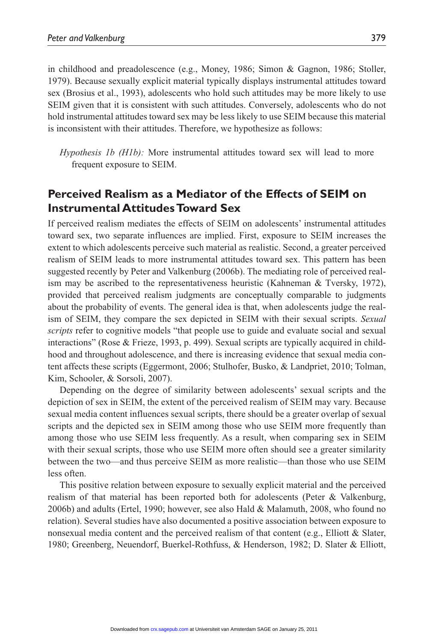in childhood and preadolescence (e.g., Money, 1986; Simon & Gagnon, 1986; Stoller, 1979). Because sexually explicit material typically displays instrumental attitudes toward sex (Brosius et al., 1993), adolescents who hold such attitudes may be more likely to use SEIM given that it is consistent with such attitudes. Conversely, adolescents who do not hold instrumental attitudes toward sex may be less likely to use SEIM because this material is inconsistent with their attitudes. Therefore, we hypothesize as follows:

*Hypothesis 1b (H1b):* More instrumental attitudes toward sex will lead to more frequent exposure to SEIM.

# **Perceived Realism as a Mediator of the Effects of SEIM on Instrumental Attitudes Toward Sex**

If perceived realism mediates the effects of SEIM on adolescents' instrumental attitudes toward sex, two separate influences are implied. First, exposure to SEIM increases the extent to which adolescents perceive such material as realistic. Second, a greater perceived realism of SEIM leads to more instrumental attitudes toward sex. This pattern has been suggested recently by Peter and Valkenburg (2006b). The mediating role of perceived realism may be ascribed to the representativeness heuristic (Kahneman & Tversky, 1972), provided that perceived realism judgments are conceptually comparable to judgments about the probability of events. The general idea is that, when adolescents judge the realism of SEIM, they compare the sex depicted in SEIM with their sexual scripts. *Sexual scripts* refer to cognitive models "that people use to guide and evaluate social and sexual interactions" (Rose & Frieze, 1993, p. 499). Sexual scripts are typically acquired in childhood and throughout adolescence, and there is increasing evidence that sexual media content affects these scripts (Eggermont, 2006; Stulhofer, Busko, & Landpriet, 2010; Tolman, Kim, Schooler, & Sorsoli, 2007).

Depending on the degree of similarity between adolescents' sexual scripts and the depiction of sex in SEIM, the extent of the perceived realism of SEIM may vary. Because sexual media content influences sexual scripts, there should be a greater overlap of sexual scripts and the depicted sex in SEIM among those who use SEIM more frequently than among those who use SEIM less frequently. As a result, when comparing sex in SEIM with their sexual scripts, those who use SEIM more often should see a greater similarity between the two—and thus perceive SEIM as more realistic—than those who use SEIM less often.

This positive relation between exposure to sexually explicit material and the perceived realism of that material has been reported both for adolescents (Peter & Valkenburg, 2006b) and adults (Ertel, 1990; however, see also Hald & Malamuth, 2008, who found no relation). Several studies have also documented a positive association between exposure to nonsexual media content and the perceived realism of that content (e.g., Elliott & Slater, 1980; Greenberg, Neuendorf, Buerkel-Rothfuss, & Henderson, 1982; D. Slater & Elliott,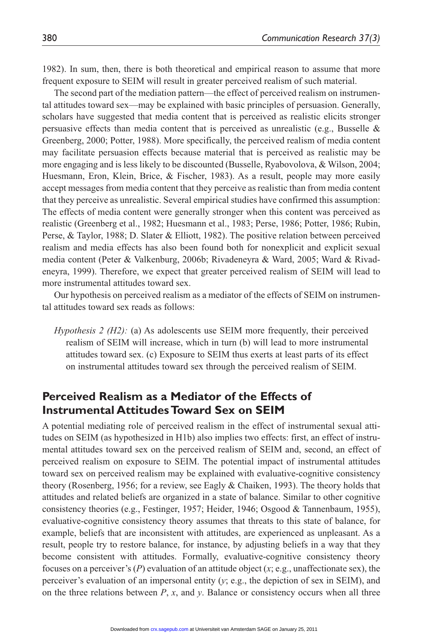1982). In sum, then, there is both theoretical and empirical reason to assume that more frequent exposure to SEIM will result in greater perceived realism of such material.

The second part of the mediation pattern—the effect of perceived realism on instrumental attitudes toward sex—may be explained with basic principles of persuasion. Generally, scholars have suggested that media content that is perceived as realistic elicits stronger persuasive effects than media content that is perceived as unrealistic (e.g., Busselle  $\&$ Greenberg, 2000; Potter, 1988). More specifically, the perceived realism of media content may facilitate persuasion effects because material that is perceived as realistic may be more engaging and is less likely to be discounted (Busselle, Ryabovolova, & Wilson, 2004; Huesmann, Eron, Klein, Brice, & Fischer, 1983). As a result, people may more easily accept messages from media content that they perceive as realistic than from media content that they perceive as unrealistic. Several empirical studies have confirmed this assumption: The effects of media content were generally stronger when this content was perceived as realistic (Greenberg et al., 1982; Huesmann et al., 1983; Perse, 1986; Potter, 1986; Rubin, Perse, & Taylor, 1988; D. Slater & Elliott, 1982). The positive relation between perceived realism and media effects has also been found both for nonexplicit and explicit sexual media content (Peter & Valkenburg, 2006b; Rivadeneyra & Ward, 2005; Ward & Rivadeneyra, 1999). Therefore, we expect that greater perceived realism of SEIM will lead to more instrumental attitudes toward sex.

Our hypothesis on perceived realism as a mediator of the effects of SEIM on instrumental attitudes toward sex reads as follows:

*Hypothesis 2 (H2):* (a) As adolescents use SEIM more frequently, their perceived realism of SEIM will increase, which in turn (b) will lead to more instrumental attitudes toward sex. (c) Exposure to SEIM thus exerts at least parts of its effect on instrumental attitudes toward sex through the perceived realism of SEIM.

# **Perceived Realism as a Mediator of the Effects of Instrumental Attitudes Toward Sex on SEIM**

A potential mediating role of perceived realism in the effect of instrumental sexual attitudes on SEIM (as hypothesized in H1b) also implies two effects: first, an effect of instrumental attitudes toward sex on the perceived realism of SEIM and, second, an effect of perceived realism on exposure to SEIM. The potential impact of instrumental attitudes toward sex on perceived realism may be explained with evaluative-cognitive consistency theory (Rosenberg, 1956; for a review, see Eagly & Chaiken, 1993). The theory holds that attitudes and related beliefs are organized in a state of balance. Similar to other cognitive consistency theories (e.g., Festinger, 1957; Heider, 1946; Osgood & Tannenbaum, 1955), evaluative-cognitive consistency theory assumes that threats to this state of balance, for example, beliefs that are inconsistent with attitudes, are experienced as unpleasant. As a result, people try to restore balance, for instance, by adjusting beliefs in a way that they become consistent with attitudes. Formally, evaluative-cognitive consistency theory focuses on a perceiver's  $(P)$  evaluation of an attitude object  $(x; e.g.,$  unaffectionate sex), the perceiver's evaluation of an impersonal entity (*y*; e.g., the depiction of sex in SEIM), and on the three relations between *P*, *x*, and *y*. Balance or consistency occurs when all three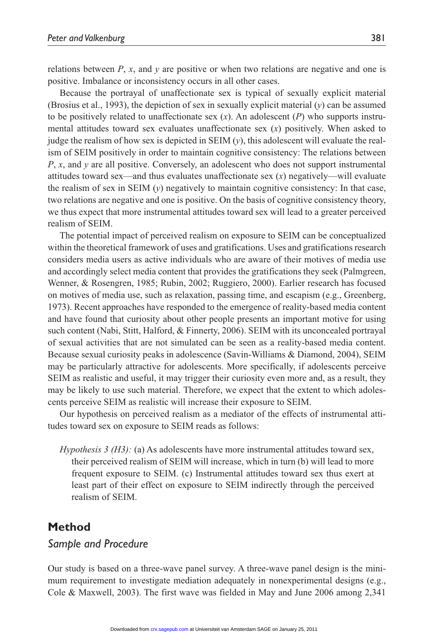relations between  $P$ ,  $x$ , and  $y$  are positive or when two relations are negative and one is positive. Imbalance or inconsistency occurs in all other cases.

Because the portrayal of unaffectionate sex is typical of sexually explicit material (Brosius et al., 1993), the depiction of sex in sexually explicit material (*y*) can be assumed to be positively related to unaffectionate sex  $(x)$ . An adolescent  $(P)$  who supports instrumental attitudes toward sex evaluates unaffectionate sex (*x*) positively. When asked to judge the realism of how sex is depicted in SEIM (*y*), this adolescent will evaluate the realism of SEIM positively in order to maintain cognitive consistency: The relations between *P*, *x*, and *y* are all positive. Conversely, an adolescent who does not support instrumental attitudes toward sex—and thus evaluates unaffectionate sex (*x*) negatively—will evaluate the realism of sex in SEIM  $(y)$  negatively to maintain cognitive consistency: In that case, two relations are negative and one is positive. On the basis of cognitive consistency theory, we thus expect that more instrumental attitudes toward sex will lead to a greater perceived realism of SEIM.

The potential impact of perceived realism on exposure to SEIM can be conceptualized within the theoretical framework of uses and gratifications. Uses and gratifications research considers media users as active individuals who are aware of their motives of media use and accordingly select media content that provides the gratifications they seek (Palmgreen, Wenner, & Rosengren, 1985; Rubin, 2002; Ruggiero, 2000). Earlier research has focused on motives of media use, such as relaxation, passing time, and escapism (e.g., Greenberg, 1973). Recent approaches have responded to the emergence of reality-based media content and have found that curiosity about other people presents an important motive for using such content (Nabi, Stitt, Halford, & Finnerty, 2006). SEIM with its unconcealed portrayal of sexual activities that are not simulated can be seen as a reality-based media content. Because sexual curiosity peaks in adolescence (Savin-Williams & Diamond, 2004), SEIM may be particularly attractive for adolescents. More specifically, if adolescents perceive SEIM as realistic and useful, it may trigger their curiosity even more and, as a result, they may be likely to use such material. Therefore, we expect that the extent to which adolescents perceive SEIM as realistic will increase their exposure to SEIM.

Our hypothesis on perceived realism as a mediator of the effects of instrumental attitudes toward sex on exposure to SEIM reads as follows:

*Hypothesis 3 (H3):* (a) As adolescents have more instrumental attitudes toward sex, their perceived realism of SEIM will increase, which in turn (b) will lead to more frequent exposure to SEIM. (c) Instrumental attitudes toward sex thus exert at least part of their effect on exposure to SEIM indirectly through the perceived realism of SEIM.

# **Method**

#### *Sample and Procedure*

Our study is based on a three-wave panel survey. A three-wave panel design is the minimum requirement to investigate mediation adequately in nonexperimental designs (e.g., Cole & Maxwell, 2003). The first wave was fielded in May and June 2006 among 2,341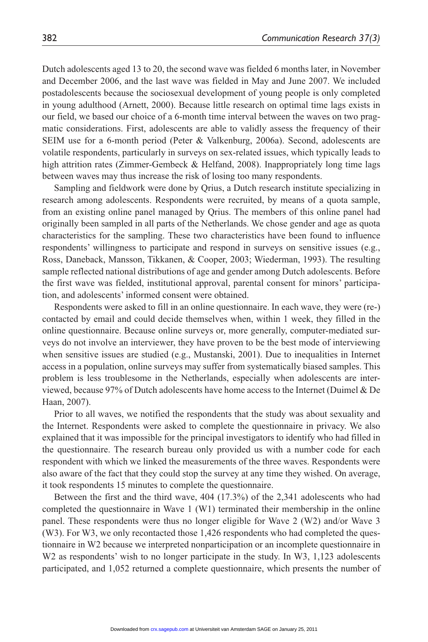Dutch adolescents aged 13 to 20, the second wave was fielded 6 months later, in November and December 2006, and the last wave was fielded in May and June 2007. We included postadolescents because the sociosexual development of young people is only completed in young adulthood (Arnett, 2000). Because little research on optimal time lags exists in our field, we based our choice of a 6-month time interval between the waves on two pragmatic considerations. First, adolescents are able to validly assess the frequency of their SEIM use for a 6-month period (Peter & Valkenburg, 2006a). Second, adolescents are volatile respondents, particularly in surveys on sex-related issues, which typically leads to high attrition rates (Zimmer-Gembeck & Helfand, 2008). Inappropriately long time lags between waves may thus increase the risk of losing too many respondents.

Sampling and fieldwork were done by Qrius, a Dutch research institute specializing in research among adolescents. Respondents were recruited, by means of a quota sample, from an existing online panel managed by Qrius. The members of this online panel had originally been sampled in all parts of the Netherlands. We chose gender and age as quota characteristics for the sampling. These two characteristics have been found to influence respondents' willingness to participate and respond in surveys on sensitive issues (e.g., Ross, Daneback, Mansson, Tikkanen, & Cooper, 2003; Wiederman, 1993). The resulting sample reflected national distributions of age and gender among Dutch adolescents. Before the first wave was fielded, institutional approval, parental consent for minors' participation, and adolescents' informed consent were obtained.

Respondents were asked to fill in an online questionnaire. In each wave, they were (re-) contacted by email and could decide themselves when, within 1 week, they filled in the online questionnaire. Because online surveys or, more generally, computer-mediated surveys do not involve an interviewer, they have proven to be the best mode of interviewing when sensitive issues are studied (e.g., Mustanski, 2001). Due to inequalities in Internet access in a population, online surveys may suffer from systematically biased samples. This problem is less troublesome in the Netherlands, especially when adolescents are interviewed, because 97% of Dutch adolescents have home access to the Internet (Duimel & De Haan, 2007).

Prior to all waves, we notified the respondents that the study was about sexuality and the Internet. Respondents were asked to complete the questionnaire in privacy. We also explained that it was impossible for the principal investigators to identify who had filled in the questionnaire. The research bureau only provided us with a number code for each respondent with which we linked the measurements of the three waves. Respondents were also aware of the fact that they could stop the survey at any time they wished. On average, it took respondents 15 minutes to complete the questionnaire.

Between the first and the third wave, 404 (17.3%) of the 2,341 adolescents who had completed the questionnaire in Wave 1 (W1) terminated their membership in the online panel. These respondents were thus no longer eligible for Wave 2 (W2) and/or Wave 3 (W3). For W3, we only recontacted those 1,426 respondents who had completed the questionnaire in W2 because we interpreted nonparticipation or an incomplete questionnaire in W<sub>2</sub> as respondents' wish to no longer participate in the study. In W<sub>3</sub>, 1,123 adolescents participated, and 1,052 returned a complete questionnaire, which presents the number of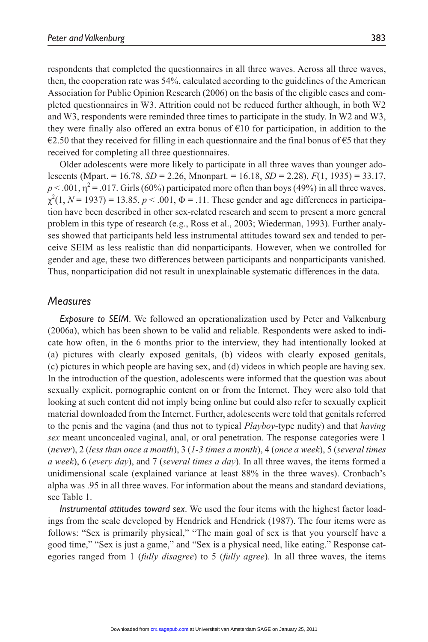respondents that completed the questionnaires in all three waves. Across all three waves, then, the cooperation rate was 54%, calculated according to the guidelines of the American Association for Public Opinion Research (2006) on the basis of the eligible cases and completed questionnaires in W3. Attrition could not be reduced further although, in both W2 and W3, respondents were reminded three times to participate in the study. In W2 and W3, they were finally also offered an extra bonus of  $E10$  for participation, in addition to the  $\epsilon$ 2.50 that they received for filling in each questionnaire and the final bonus of  $\epsilon$ 5 that they received for completing all three questionnaires.

Older adolescents were more likely to participate in all three waves than younger adolescents (Mpart. = 16.78, *SD* = 2.26, Mnonpart. = 16.18, *SD* = 2.28), *F*(1, 1935) = 33.17,  $p < .001$ ,  $\eta^2 = .017$ . Girls (60%) participated more often than boys (49%) in all three waves,  $\chi^2(1, N = 1937) = 13.85, p < .001, \Phi = .11$ . These gender and age differences in participation have been described in other sex-related research and seem to present a more general problem in this type of research (e.g., Ross et al., 2003; Wiederman, 1993). Further analyses showed that participants held less instrumental attitudes toward sex and tended to perceive SEIM as less realistic than did nonparticipants. However, when we controlled for gender and age, these two differences between participants and nonparticipants vanished. Thus, nonparticipation did not result in unexplainable systematic differences in the data.

#### *Measures*

*Exposure to SEIM*. We followed an operationalization used by Peter and Valkenburg (2006a), which has been shown to be valid and reliable. Respondents were asked to indicate how often, in the 6 months prior to the interview, they had intentionally looked at (a) pictures with clearly exposed genitals, (b) videos with clearly exposed genitals, (c) pictures in which people are having sex, and (d) videos in which people are having sex. In the introduction of the question, adolescents were informed that the question was about sexually explicit, pornographic content on or from the Internet. They were also told that looking at such content did not imply being online but could also refer to sexually explicit material downloaded from the Internet. Further, adolescents were told that genitals referred to the penis and the vagina (and thus not to typical *Playboy*-type nudity) and that *having sex* meant unconcealed vaginal, anal, or oral penetration. The response categories were 1 (*never*), 2 (*less than once a month*), 3 (*1-3 times a month*), 4 (*once a week*), 5 (*several times a week*), 6 (*every day*), and 7 (*several times a day*). In all three waves, the items formed a unidimensional scale (explained variance at least 88% in the three waves). Cronbach's alpha was .95 in all three waves. For information about the means and standard deviations, see Table 1.

*Instrumental attitudes toward sex*. We used the four items with the highest factor loadings from the scale developed by Hendrick and Hendrick (1987). The four items were as follows: "Sex is primarily physical," "The main goal of sex is that you yourself have a good time," "Sex is just a game," and "Sex is a physical need, like eating." Response categories ranged from 1 (*fully disagree*) to 5 (*fully agree*). In all three waves, the items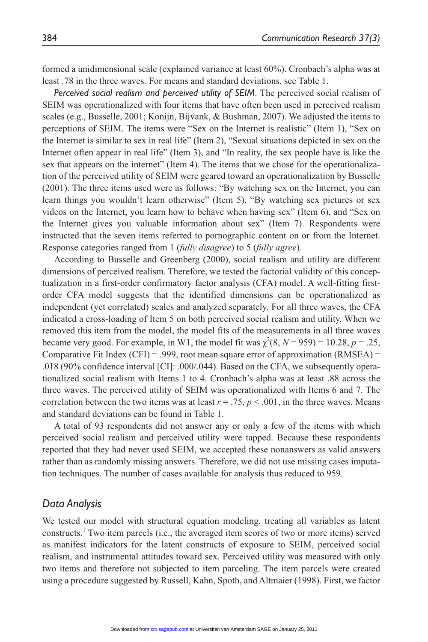formed a unidimensional scale (explained variance at least 60%). Cronbach's alpha was at least .78 in the three waves. For means and standard deviations, see Table 1.

*Perceived social realism and perceived utility of SEIM*. The perceived social realism of SEIM was operationalized with four items that have often been used in perceived realism scales (e.g., Busselle, 2001; Konijn, Bijvank, & Bushman, 2007). We adjusted the items to perceptions of SEIM. The items were "Sex on the Internet is realistic" (Item 1), "Sex on the Internet is similar to sex in real life" (Item 2), "Sexual situations depicted in sex on the Internet often appear in real life" (Item 3), and "In reality, the sex people have is like the sex that appears on the internet" (Item 4). The items that we chose for the operationalization of the perceived utility of SEIM were geared toward an operationalization by Busselle (2001). The three items used were as follows: "By watching sex on the Internet, you can learn things you wouldn't learn otherwise" (Item 5), "By watching sex pictures or sex videos on the Internet, you learn how to behave when having sex" (Item 6), and "Sex on the Internet gives you valuable information about sex" (Item 7). Respondents were instructed that the seven items referred to pornographic content on or from the Internet. Response categories ranged from 1 (*fully disagree*) to 5 (*fully agree*).

According to Busselle and Greenberg (2000), social realism and utility are different dimensions of perceived realism. Therefore, we tested the factorial validity of this conceptualization in a first-order confirmatory factor analysis (CFA) model. A well-fitting firstorder CFA model suggests that the identified dimensions can be operationalized as independent (yet correlated) scales and analyzed separately. For all three waves, the CFA indicated a cross-loading of Item 5 on both perceived social realism and utility. When we removed this item from the model, the model fits of the measurements in all three waves became very good. For example, in W1, the model fit was  $\chi^2(8, N = 959) = 10.28$ ,  $p = .25$ , Comparative Fit Index (CFI) = .999, root mean square error of approximation (RMSEA) = .018 (90% confidence interval [CI]: .000/.044). Based on the CFA, we subsequently operationalized social realism with Items 1 to 4. Cronbach's alpha was at least .88 across the three waves. The perceived utility of SEIM was operationalized with Items 6 and 7. The correlation between the two items was at least  $r = .75$ ,  $p < .001$ , in the three waves. Means and standard deviations can be found in Table 1.

A total of 93 respondents did not answer any or only a few of the items with which perceived social realism and perceived utility were tapped. Because these respondents reported that they had never used SEIM, we accepted these nonanswers as valid answers rather than as randomly missing answers. Therefore, we did not use missing cases imputation techniques. The number of cases available for analysis thus reduced to 959.

# *Data Analysis*

We tested our model with structural equation modeling, treating all variables as latent constructs.<sup>1</sup> Two item parcels (i.e., the averaged item scores of two or more items) served as manifest indicators for the latent constructs of exposure to SEIM, perceived social realism, and instrumental attitudes toward sex. Perceived utility was measured with only two items and therefore not subjected to item parceling. The item parcels were created using a procedure suggested by Russell, Kahn, Spoth, and Altmaier (1998). First, we factor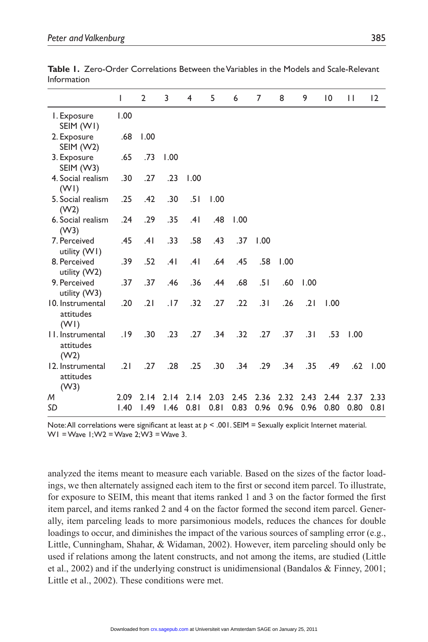|                                       | I            | $\overline{2}$ | 3            | 4            | 5            | 6            | 7            | 8            | 9            | 10           | П            | 12           |
|---------------------------------------|--------------|----------------|--------------|--------------|--------------|--------------|--------------|--------------|--------------|--------------|--------------|--------------|
| I. Exposure<br>SEIM (WI)              | 1.00         |                |              |              |              |              |              |              |              |              |              |              |
| 2. Exposure<br>SEIM (W2)              | .68          | 1.00           |              |              |              |              |              |              |              |              |              |              |
| 3. Exposure<br>SEIM (W3)              | .65          | .73            | 1.00         |              |              |              |              |              |              |              |              |              |
| 4. Social realism<br>(WI)             | .30          | .27            | .23          | 1.00         |              |              |              |              |              |              |              |              |
| 5. Social realism<br>(W2)             | .25          | .42            | .30          | .51          | 1.00         |              |              |              |              |              |              |              |
| 6. Social realism<br>(W3)             | .24          | .29            | .35          | .41          | .48          | 1.00         |              |              |              |              |              |              |
| 7. Perceived<br>utility (WI)          | .45          | .41            | .33          | .58          | .43          | .37          | 1.00         |              |              |              |              |              |
| 8. Perceived<br>utility (W2)          | .39          | .52            | .41          | .41          | .64          | .45          | .58          | 1.00         |              |              |              |              |
| 9. Perceived<br>utility (W3)          | .37          | .37            | .46          | .36          | .44          | .68          | .51          | .60          | 1.00         |              |              |              |
| 10. Instrumental<br>attitudes<br>(WI) | .20          | .21            | .17          | .32          | .27          | .22          | .31          | .26          | .21          | 1.00         |              |              |
| II. Instrumental<br>attitudes<br>(W2) | .19          | .30            | .23          | .27          | .34          | .32          | .27          | .37          | .31          | .53          | 1.00         |              |
| 12. Instrumental<br>attitudes<br>(W3) | .21          | .27            | .28          | .25          | .30          | .34          | .29          | .34          | .35          | .49          | .62          | 1.00         |
| M<br>SD                               | 2.09<br>1.40 | 2.14<br>1.49   | 2.14<br>1.46 | 2.14<br>0.81 | 2.03<br>0.81 | 2.45<br>0.83 | 2.36<br>0.96 | 2.32<br>0.96 | 2.43<br>0.96 | 2.44<br>0.80 | 2.37<br>0.80 | 2.33<br>0.81 |
|                                       |              |                |              |              |              |              |              |              |              |              |              |              |

**Table 1.** Zero-Order Correlations Between the Variables in the Models and Scale-Relevant Information

Note: All correlations were significant at least at  $p < .001$ . SEIM = Sexually explicit Internet material. W1 = Wave  $1:W2 = W$ ave  $2:W3 = W$ ave 3.

analyzed the items meant to measure each variable. Based on the sizes of the factor loadings, we then alternately assigned each item to the first or second item parcel. To illustrate, for exposure to SEIM, this meant that items ranked 1 and 3 on the factor formed the first item parcel, and items ranked 2 and 4 on the factor formed the second item parcel. Generally, item parceling leads to more parsimonious models, reduces the chances for double loadings to occur, and diminishes the impact of the various sources of sampling error (e.g., Little, Cunningham, Shahar, & Widaman, 2002). However, item parceling should only be used if relations among the latent constructs, and not among the items, are studied (Little et al., 2002) and if the underlying construct is unidimensional (Bandalos & Finney, 2001; Little et al., 2002). These conditions were met.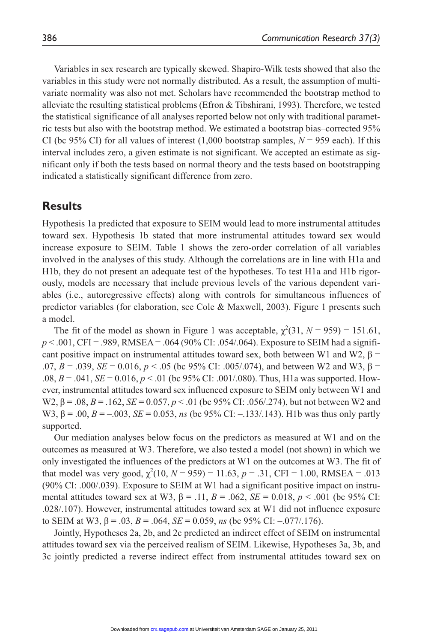Variables in sex research are typically skewed. Shapiro-Wilk tests showed that also the variables in this study were not normally distributed. As a result, the assumption of multivariate normality was also not met. Scholars have recommended the bootstrap method to alleviate the resulting statistical problems (Efron & Tibshirani, 1993). Therefore, we tested the statistical significance of all analyses reported below not only with traditional parametric tests but also with the bootstrap method. We estimated a bootstrap bias–corrected 95% CI (bc 95% CI) for all values of interest  $(1,000$  bootstrap samples,  $N = 959$  each). If this interval includes zero, a given estimate is not significant. We accepted an estimate as significant only if both the tests based on normal theory and the tests based on bootstrapping indicated a statistically significant difference from zero.

# **Results**

Hypothesis 1a predicted that exposure to SEIM would lead to more instrumental attitudes toward sex. Hypothesis 1b stated that more instrumental attitudes toward sex would increase exposure to SEIM. Table 1 shows the zero-order correlation of all variables involved in the analyses of this study. Although the correlations are in line with H1a and H1b, they do not present an adequate test of the hypotheses. To test H1a and H1b rigorously, models are necessary that include previous levels of the various dependent variables (i.e., autoregressive effects) along with controls for simultaneous influences of predictor variables (for elaboration, see Cole & Maxwell, 2003). Figure 1 presents such a model.

The fit of the model as shown in Figure 1 was acceptable,  $\chi^2(31, N = 959) = 151.61$ ,  $p < .001$ , CFI = .989, RMSEA = .064 (90% CI: .054/.064). Exposure to SEIM had a significant positive impact on instrumental attitudes toward sex, both between W1 and W2,  $\beta$  = .07,  $B = 0.039$ ,  $SE = 0.016$ ,  $p < 0.05$  (bc 95% CI: .005/.074), and between W2 and W3,  $\beta = 0.07$ .08,  $B = .041$ ,  $SE = 0.016$ ,  $p < .01$  (bc 95% CI: .001/.080). Thus, H1a was supported. However, instrumental attitudes toward sex influenced exposure to SEIM only between W1 and W2, β = .08, *B* = .162, *SE* = 0.057, *p* < .01 (bc 95% CI: .056/.274), but not between W2 and W3,  $β = .00$ ,  $B = -.003$ ,  $SE = 0.053$ , *ns* (bc 95% CI: --133/.143). H1b was thus only partly supported.

Our mediation analyses below focus on the predictors as measured at W1 and on the outcomes as measured at W3. Therefore, we also tested a model (not shown) in which we only investigated the influences of the predictors at W1 on the outcomes at W3. The fit of that model was very good,  $\chi^2(10, N = 959) = 11.63$ ,  $p = .31$ , CFI = 1.00, RMSEA = .013 (90% CI: .000/.039). Exposure to SEIM at W1 had a significant positive impact on instrumental attitudes toward sex at W3,  $\beta = .11$ ,  $B = .062$ ,  $SE = 0.018$ ,  $p < .001$  (bc 95% CI: .028/.107). However, instrumental attitudes toward sex at W1 did not influence exposure to SEIM at W3,  $β = .03$ ,  $B = .064$ ,  $SE = 0.059$ , *ns* (bc 95% CI: -.077/.176).

Jointly, Hypotheses 2a, 2b, and 2c predicted an indirect effect of SEIM on instrumental attitudes toward sex via the perceived realism of SEIM. Likewise, Hypotheses 3a, 3b, and 3c jointly predicted a reverse indirect effect from instrumental attitudes toward sex on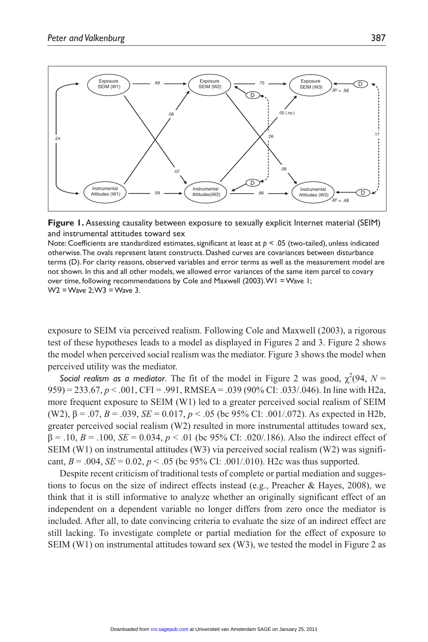



Note: Coefficients are standardized estimates, significant at least at *p* < .05 (two-tailed), unless indicated otherwise. The ovals represent latent constructs. Dashed curves are covariances between disturbance terms (D). For clarity reasons, observed variables and error terms as well as the measurement model are not shown. In this and all other models, we allowed error variances of the same item parcel to covary over time, following recommendations by Cole and Maxwell (2003). W1 = Wave 1; W2 = Wave 2; W3 = Wave 3.

exposure to SEIM via perceived realism. Following Cole and Maxwell (2003), a rigorous test of these hypotheses leads to a model as displayed in Figures 2 and 3. Figure 2 shows the model when perceived social realism was the mediator. Figure 3 shows the model when perceived utility was the mediator.

**Social realism as a mediator.** The fit of the model in Figure 2 was good,  $\chi^2(94, N = 1)$ 959) = 233.67, *p* < .001, CFI = .991, RMSEA = .039 (90% CI: .033/.046). In line with H2a, more frequent exposure to SEIM (W1) led to a greater perceived social realism of SEIM (W2),  $\beta = .07$ ,  $B = .039$ ,  $SE = 0.017$ ,  $p < .05$  (bc 95% CI: .001/.072). As expected in H2b, greater perceived social realism (W2) resulted in more instrumental attitudes toward sex, β = .10, *B* = .100, *SE* = 0.034, *p* < .01 (bc 95% CI: .020/.186). Also the indirect effect of SEIM (W1) on instrumental attitudes (W3) via perceived social realism (W2) was significant,  $B = .004$ ,  $SE = 0.02$ ,  $p < .05$  (bc 95% CI: .001/.010). H2c was thus supported.

Despite recent criticism of traditional tests of complete or partial mediation and suggestions to focus on the size of indirect effects instead (e.g., Preacher & Hayes, 2008), we think that it is still informative to analyze whether an originally significant effect of an independent on a dependent variable no longer differs from zero once the mediator is included. After all, to date convincing criteria to evaluate the size of an indirect effect are still lacking. To investigate complete or partial mediation for the effect of exposure to SEIM (W1) on instrumental attitudes toward sex (W3), we tested the model in Figure 2 as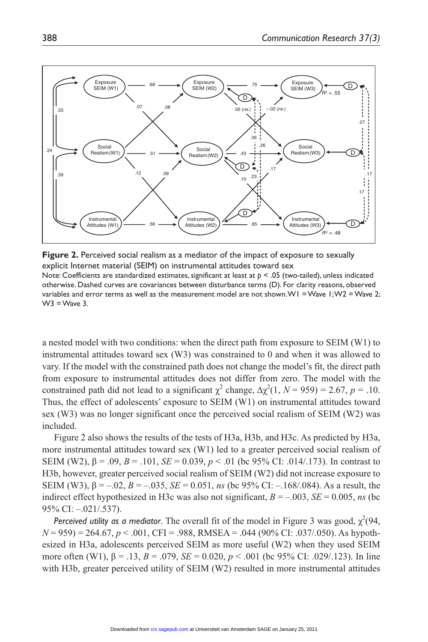

**Figure 2.** Perceived social realism as a mediator of the impact of exposure to sexually explicit Internet material (SEIM) on instrumental attitudes toward sex Note: Coefficients are standardized estimates, significant at least at *p* < .05 (two-tailed), unless indicated otherwise. Dashed curves are covariances between disturbance terms (D). For clarity reasons, observed variables and error terms as well as the measurement model are not shown. W1 = Wave 1; W2 = Wave 2;  $W3 = W$ ave 3.

a nested model with two conditions: when the direct path from exposure to SEIM (W1) to instrumental attitudes toward sex (W3) was constrained to 0 and when it was allowed to vary. If the model with the constrained path does not change the model's fit, the direct path from exposure to instrumental attitudes does not differ from zero. The model with the constrained path did not lead to a significant  $\chi^2$  change,  $\Delta \chi^2(1, N = 959) = 2.67$ ,  $p = .10$ . Thus, the effect of adolescents' exposure to SEIM (W1) on instrumental attitudes toward sex (W3) was no longer significant once the perceived social realism of SEIM (W2) was included.

Figure 2 also shows the results of the tests of H3a, H3b, and H3c. As predicted by H3a, more instrumental attitudes toward sex (W1) led to a greater perceived social realism of SEIM (W2),  $β = .09$ ,  $B = .101$ ,  $SE = 0.039$ ,  $p < .01$  (bc 95% CI: .014/.173). In contrast to H3b, however, greater perceived social realism of SEIM (W2) did not increase exposure to SEIM (W3),  $β = -.02$ ,  $B = -.035$ ,  $SE = 0.051$ , *ns* (bc 95% CI: -.168/.084). As a result, the indirect effect hypothesized in H3c was also not significant,  $B = -0.003$ ,  $SE = 0.005$ , *ns* (bc) 95% CI: –.021/.537).

*Perceived utility as a mediator*. The overall fit of the model in Figure 3 was good,  $\chi^2(94, 100)$ *N* = 959) = 264.67, *p* < .001, CFI = .988, RMSEA = .044 (90% CI: .037/.050). As hypothesized in H3a, adolescents perceived SEIM as more useful (W2) when they used SEIM more often (W1), β = .13, *B* = .079, *SE* = 0.020, *p* < .001 (bc 95% CI: .029/.123). In line with H3b, greater perceived utility of SEIM (W2) resulted in more instrumental attitudes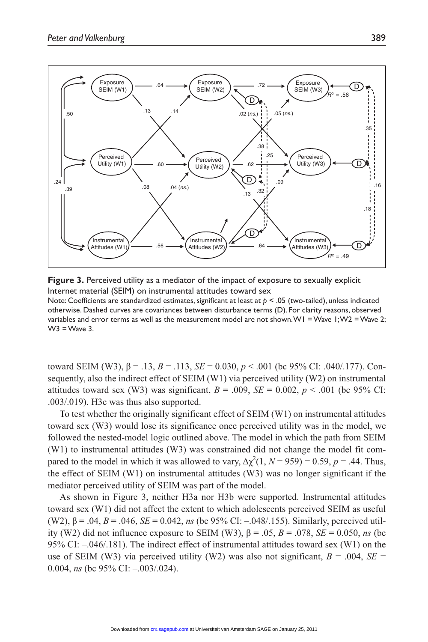

**Figure 3.** Perceived utility as a mediator of the impact of exposure to sexually explicit Internet material (SEIM) on instrumental attitudes toward sex Note: Coefficients are standardized estimates, significant at least at *p* < .05 (two-tailed), unless indicated otherwise. Dashed curves are covariances between disturbance terms (D). For clarity reasons, observed variables and error terms as well as the measurement model are not shown. W1 = Wave 1; W2 = Wave 2;  $W3 = W$ ave 3.

toward SEIM (W3), β = .13, *B* = .113, *SE* = 0.030, *p* < .001 (bc 95% CI: .040/.177). Consequently, also the indirect effect of SEIM (W1) via perceived utility (W2) on instrumental attitudes toward sex (W3) was significant,  $B = .009$ ,  $SE = 0.002$ ,  $p < .001$  (bc 95% CI: .003/.019). H3c was thus also supported.

To test whether the originally significant effect of SEIM (W1) on instrumental attitudes toward sex (W3) would lose its significance once perceived utility was in the model, we followed the nested-model logic outlined above. The model in which the path from SEIM (W1) to instrumental attitudes (W3) was constrained did not change the model fit compared to the model in which it was allowed to vary,  $\Delta \chi^2(1, N = 959) = 0.59$ ,  $p = .44$ . Thus, the effect of SEIM (W1) on instrumental attitudes (W3) was no longer significant if the mediator perceived utility of SEIM was part of the model.

As shown in Figure 3, neither H3a nor H3b were supported. Instrumental attitudes toward sex (W1) did not affect the extent to which adolescents perceived SEIM as useful (W2), β = .04, *B* = .046, *SE* = 0.042, *ns* (bc 95% CI: –.048/.155). Similarly, perceived utility (W2) did not influence exposure to SEIM (W3), β = .05, *B* = .078, *SE* = 0.050, *ns* (bc 95% CI: –.046/.181). The indirect effect of instrumental attitudes toward sex (W1) on the use of SEIM (W3) via perceived utility (W2) was also not significant,  $B = .004$ ,  $SE =$ 0.004, *ns* (bc 95% CI: -.003/.024).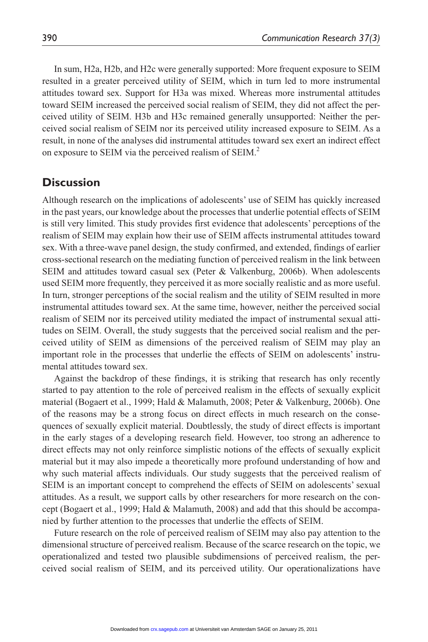In sum, H2a, H2b, and H2c were generally supported: More frequent exposure to SEIM resulted in a greater perceived utility of SEIM, which in turn led to more instrumental attitudes toward sex. Support for H3a was mixed. Whereas more instrumental attitudes toward SEIM increased the perceived social realism of SEIM, they did not affect the perceived utility of SEIM. H3b and H3c remained generally unsupported: Neither the perceived social realism of SEIM nor its perceived utility increased exposure to SEIM. As a result, in none of the analyses did instrumental attitudes toward sex exert an indirect effect on exposure to SEIM via the perceived realism of SEIM.<sup>2</sup>

# **Discussion**

Although research on the implications of adolescents' use of SEIM has quickly increased in the past years, our knowledge about the processes that underlie potential effects of SEIM is still very limited. This study provides first evidence that adolescents' perceptions of the realism of SEIM may explain how their use of SEIM affects instrumental attitudes toward sex. With a three-wave panel design, the study confirmed, and extended, findings of earlier cross-sectional research on the mediating function of perceived realism in the link between SEIM and attitudes toward casual sex (Peter & Valkenburg, 2006b). When adolescents used SEIM more frequently, they perceived it as more socially realistic and as more useful. In turn, stronger perceptions of the social realism and the utility of SEIM resulted in more instrumental attitudes toward sex. At the same time, however, neither the perceived social realism of SEIM nor its perceived utility mediated the impact of instrumental sexual attitudes on SEIM. Overall, the study suggests that the perceived social realism and the perceived utility of SEIM as dimensions of the perceived realism of SEIM may play an important role in the processes that underlie the effects of SEIM on adolescents' instrumental attitudes toward sex.

Against the backdrop of these findings, it is striking that research has only recently started to pay attention to the role of perceived realism in the effects of sexually explicit material (Bogaert et al., 1999; Hald & Malamuth, 2008; Peter & Valkenburg, 2006b). One of the reasons may be a strong focus on direct effects in much research on the consequences of sexually explicit material. Doubtlessly, the study of direct effects is important in the early stages of a developing research field. However, too strong an adherence to direct effects may not only reinforce simplistic notions of the effects of sexually explicit material but it may also impede a theoretically more profound understanding of how and why such material affects individuals. Our study suggests that the perceived realism of SEIM is an important concept to comprehend the effects of SEIM on adolescents' sexual attitudes. As a result, we support calls by other researchers for more research on the concept (Bogaert et al., 1999; Hald & Malamuth, 2008) and add that this should be accompanied by further attention to the processes that underlie the effects of SEIM.

Future research on the role of perceived realism of SEIM may also pay attention to the dimensional structure of perceived realism. Because of the scarce research on the topic, we operationalized and tested two plausible subdimensions of perceived realism, the perceived social realism of SEIM, and its perceived utility. Our operationalizations have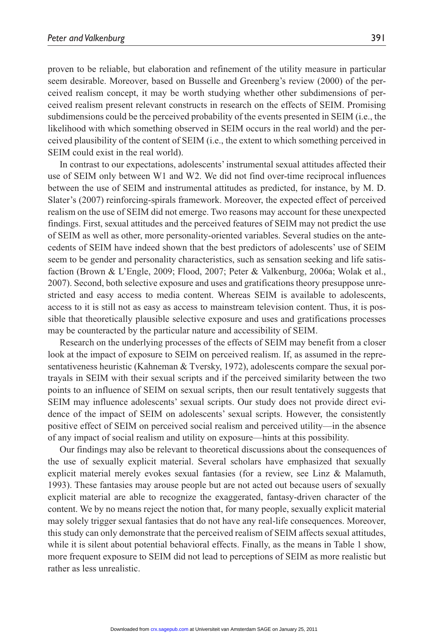proven to be reliable, but elaboration and refinement of the utility measure in particular seem desirable. Moreover, based on Busselle and Greenberg's review (2000) of the perceived realism concept, it may be worth studying whether other subdimensions of perceived realism present relevant constructs in research on the effects of SEIM. Promising subdimensions could be the perceived probability of the events presented in SEIM (i.e., the likelihood with which something observed in SEIM occurs in the real world) and the perceived plausibility of the content of SEIM (i.e., the extent to which something perceived in SEIM could exist in the real world).

In contrast to our expectations, adolescents' instrumental sexual attitudes affected their use of SEIM only between W1 and W2. We did not find over-time reciprocal influences between the use of SEIM and instrumental attitudes as predicted, for instance, by M. D. Slater's (2007) reinforcing-spirals framework. Moreover, the expected effect of perceived realism on the use of SEIM did not emerge. Two reasons may account for these unexpected findings. First, sexual attitudes and the perceived features of SEIM may not predict the use of SEIM as well as other, more personality-oriented variables. Several studies on the antecedents of SEIM have indeed shown that the best predictors of adolescents' use of SEIM seem to be gender and personality characteristics, such as sensation seeking and life satisfaction (Brown & L'Engle, 2009; Flood, 2007; Peter & Valkenburg, 2006a; Wolak et al., 2007). Second, both selective exposure and uses and gratifications theory presuppose unrestricted and easy access to media content. Whereas SEIM is available to adolescents, access to it is still not as easy as access to mainstream television content. Thus, it is possible that theoretically plausible selective exposure and uses and gratifications processes may be counteracted by the particular nature and accessibility of SEIM.

Research on the underlying processes of the effects of SEIM may benefit from a closer look at the impact of exposure to SEIM on perceived realism. If, as assumed in the representativeness heuristic (Kahneman & Tversky, 1972), adolescents compare the sexual portrayals in SEIM with their sexual scripts and if the perceived similarity between the two points to an influence of SEIM on sexual scripts, then our result tentatively suggests that SEIM may influence adolescents' sexual scripts. Our study does not provide direct evidence of the impact of SEIM on adolescents' sexual scripts. However, the consistently positive effect of SEIM on perceived social realism and perceived utility—in the absence of any impact of social realism and utility on exposure—hints at this possibility.

Our findings may also be relevant to theoretical discussions about the consequences of the use of sexually explicit material. Several scholars have emphasized that sexually explicit material merely evokes sexual fantasies (for a review, see Linz & Malamuth, 1993). These fantasies may arouse people but are not acted out because users of sexually explicit material are able to recognize the exaggerated, fantasy-driven character of the content. We by no means reject the notion that, for many people, sexually explicit material may solely trigger sexual fantasies that do not have any real-life consequences. Moreover, this study can only demonstrate that the perceived realism of SEIM affects sexual attitudes, while it is silent about potential behavioral effects. Finally, as the means in Table 1 show, more frequent exposure to SEIM did not lead to perceptions of SEIM as more realistic but rather as less unrealistic.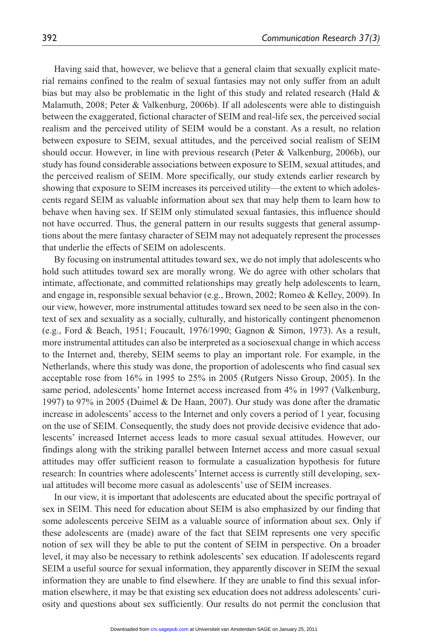Having said that, however, we believe that a general claim that sexually explicit material remains confined to the realm of sexual fantasies may not only suffer from an adult bias but may also be problematic in the light of this study and related research (Hald  $\&$ Malamuth, 2008; Peter & Valkenburg, 2006b). If all adolescents were able to distinguish between the exaggerated, fictional character of SEIM and real-life sex, the perceived social realism and the perceived utility of SEIM would be a constant. As a result, no relation between exposure to SEIM, sexual attitudes, and the perceived social realism of SEIM should occur. However, in line with previous research (Peter & Valkenburg, 2006b), our study has found considerable associations between exposure to SEIM, sexual attitudes, and the perceived realism of SEIM. More specifically, our study extends earlier research by showing that exposure to SEIM increases its perceived utility—the extent to which adolescents regard SEIM as valuable information about sex that may help them to learn how to behave when having sex. If SEIM only stimulated sexual fantasies, this influence should not have occurred. Thus, the general pattern in our results suggests that general assumptions about the mere fantasy character of SEIM may not adequately represent the processes that underlie the effects of SEIM on adolescents.

By focusing on instrumental attitudes toward sex, we do not imply that adolescents who hold such attitudes toward sex are morally wrong. We do agree with other scholars that intimate, affectionate, and committed relationships may greatly help adolescents to learn, and engage in, responsible sexual behavior (e.g., Brown, 2002; Romeo & Kelley, 2009). In our view, however, more instrumental attitudes toward sex need to be seen also in the context of sex and sexuality as a socially, culturally, and historically contingent phenomenon (e.g., Ford & Beach, 1951; Foucault, 1976/1990; Gagnon & Simon, 1973). As a result, more instrumental attitudes can also be interpreted as a sociosexual change in which access to the Internet and, thereby, SEIM seems to play an important role. For example, in the Netherlands, where this study was done, the proportion of adolescents who find casual sex acceptable rose from 16% in 1995 to 25% in 2005 (Rutgers Nisso Group, 2005). In the same period, adolescents' home Internet access increased from 4% in 1997 (Valkenburg, 1997) to 97% in 2005 (Duimel & De Haan, 2007). Our study was done after the dramatic increase in adolescents' access to the Internet and only covers a period of 1 year, focusing on the use of SEIM. Consequently, the study does not provide decisive evidence that adolescents' increased Internet access leads to more casual sexual attitudes. However, our findings along with the striking parallel between Internet access and more casual sexual attitudes may offer sufficient reason to formulate a casualization hypothesis for future research: In countries where adolescents' Internet access is currently still developing, sexual attitudes will become more casual as adolescents' use of SEIM increases.

In our view, it is important that adolescents are educated about the specific portrayal of sex in SEIM. This need for education about SEIM is also emphasized by our finding that some adolescents perceive SEIM as a valuable source of information about sex. Only if these adolescents are (made) aware of the fact that SEIM represents one very specific notion of sex will they be able to put the content of SEIM in perspective. On a broader level, it may also be necessary to rethink adolescents' sex education. If adolescents regard SEIM a useful source for sexual information, they apparently discover in SEIM the sexual information they are unable to find elsewhere. If they are unable to find this sexual information elsewhere, it may be that existing sex education does not address adolescents' curiosity and questions about sex sufficiently. Our results do not permit the conclusion that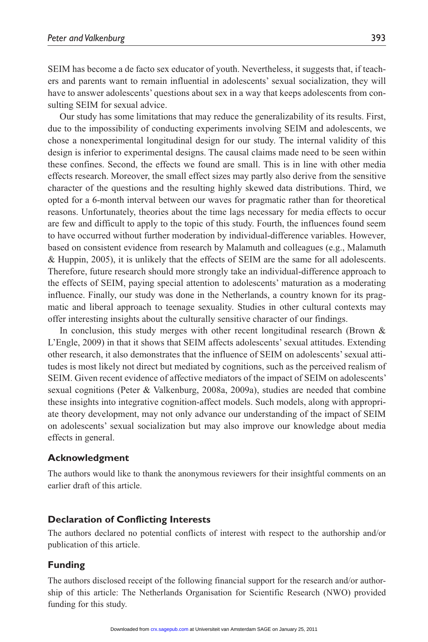SEIM has become a de facto sex educator of youth. Nevertheless, it suggests that, if teachers and parents want to remain influential in adolescents' sexual socialization, they will have to answer adolescents' questions about sex in a way that keeps adolescents from consulting SEIM for sexual advice.

Our study has some limitations that may reduce the generalizability of its results. First, due to the impossibility of conducting experiments involving SEIM and adolescents, we chose a nonexperimental longitudinal design for our study. The internal validity of this design is inferior to experimental designs. The causal claims made need to be seen within these confines. Second, the effects we found are small. This is in line with other media effects research. Moreover, the small effect sizes may partly also derive from the sensitive character of the questions and the resulting highly skewed data distributions. Third, we opted for a 6-month interval between our waves for pragmatic rather than for theoretical reasons. Unfortunately, theories about the time lags necessary for media effects to occur are few and difficult to apply to the topic of this study. Fourth, the influences found seem to have occurred without further moderation by individual-difference variables. However, based on consistent evidence from research by Malamuth and colleagues (e.g., Malamuth & Huppin, 2005), it is unlikely that the effects of SEIM are the same for all adolescents. Therefore, future research should more strongly take an individual-difference approach to the effects of SEIM, paying special attention to adolescents' maturation as a moderating influence. Finally, our study was done in the Netherlands, a country known for its pragmatic and liberal approach to teenage sexuality. Studies in other cultural contexts may offer interesting insights about the culturally sensitive character of our findings.

In conclusion, this study merges with other recent longitudinal research (Brown  $\&$ L'Engle, 2009) in that it shows that SEIM affects adolescents' sexual attitudes. Extending other research, it also demonstrates that the influence of SEIM on adolescents' sexual attitudes is most likely not direct but mediated by cognitions, such as the perceived realism of SEIM. Given recent evidence of affective mediators of the impact of SEIM on adolescents' sexual cognitions (Peter & Valkenburg, 2008a, 2009a), studies are needed that combine these insights into integrative cognition-affect models. Such models, along with appropriate theory development, may not only advance our understanding of the impact of SEIM on adolescents' sexual socialization but may also improve our knowledge about media effects in general.

#### **Acknowledgment**

The authors would like to thank the anonymous reviewers for their insightful comments on an earlier draft of this article.

#### **Declaration of Conflicting Interests**

The authors declared no potential conflicts of interest with respect to the authorship and/or publication of this article.

#### **Funding**

The authors disclosed receipt of the following financial support for the research and/or authorship of this article: The Netherlands Organisation for Scientific Research (NWO) provided funding for this study.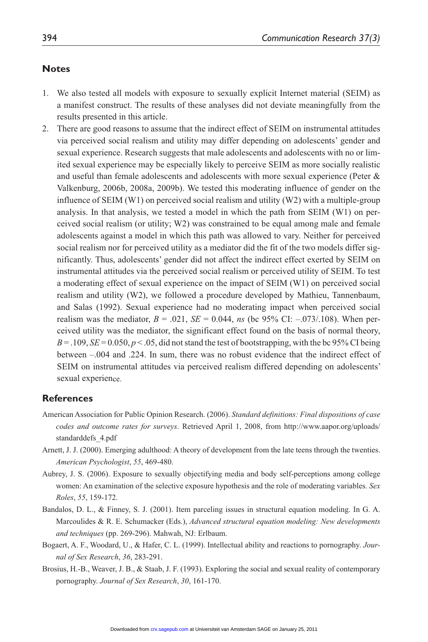#### **Notes**

- 1. We also tested all models with exposure to sexually explicit Internet material (SEIM) as a manifest construct. The results of these analyses did not deviate meaningfully from the results presented in this article.
- 2. There are good reasons to assume that the indirect effect of SEIM on instrumental attitudes via perceived social realism and utility may differ depending on adolescents' gender and sexual experience. Research suggests that male adolescents and adolescents with no or limited sexual experience may be especially likely to perceive SEIM as more socially realistic and useful than female adolescents and adolescents with more sexual experience (Peter  $\&$ Valkenburg, 2006b, 2008a, 2009b). We tested this moderating influence of gender on the influence of SEIM (W1) on perceived social realism and utility (W2) with a multiple-group analysis. In that analysis, we tested a model in which the path from SEIM (W1) on perceived social realism (or utility; W2) was constrained to be equal among male and female adolescents against a model in which this path was allowed to vary. Neither for perceived social realism nor for perceived utility as a mediator did the fit of the two models differ significantly. Thus, adolescents' gender did not affect the indirect effect exerted by SEIM on instrumental attitudes via the perceived social realism or perceived utility of SEIM. To test a moderating effect of sexual experience on the impact of SEIM (W1) on perceived social realism and utility (W2), we followed a procedure developed by Mathieu, Tannenbaum, and Salas (1992). Sexual experience had no moderating impact when perceived social realism was the mediator,  $B = .021$ ,  $SE = 0.044$ , *ns* (bc 95% CI: -0.073/.108). When perceived utility was the mediator, the significant effect found on the basis of normal theory,  $B = 0.109$ ,  $SE = 0.050$ ,  $p < 0.05$ , did not stand the test of bootstrapping, with the bc 95% CI being between –.004 and .224. In sum, there was no robust evidence that the indirect effect of SEIM on instrumental attitudes via perceived realism differed depending on adolescents' sexual experience.

#### **References**

- American Association for Public Opinion Research. (2006). *Standard definitions: Final dispositions of case codes and outcome rates for surveys*. Retrieved April 1, 2008, from http://www.aapor.org/uploads/ standarddefs\_4.pdf
- Arnett, J. J. (2000). Emerging adulthood: A theory of development from the late teens through the twenties. *American Psychologist*, *55*, 469-480.
- Aubrey, J. S. (2006). Exposure to sexually objectifying media and body self-perceptions among college women: An examination of the selective exposure hypothesis and the role of moderating variables. *Sex Roles*, *55*, 159-172.
- Bandalos, D. L., & Finney, S. J. (2001). Item parceling issues in structural equation modeling. In G. A. Marcoulides & R. E. Schumacker (Eds.), *Advanced structural equation modeling: New developments and techniques* (pp. 269-296). Mahwah, NJ: Erlbaum.
- Bogaert, A. F., Woodard, U., & Hafer, C. L. (1999). Intellectual ability and reactions to pornography. *Journal of Sex Research*, *36*, 283-291.
- Brosius, H.-B., Weaver, J. B., & Staab, J. F. (1993). Exploring the social and sexual reality of contemporary pornography. *Journal of Sex Research*, *30*, 161-170.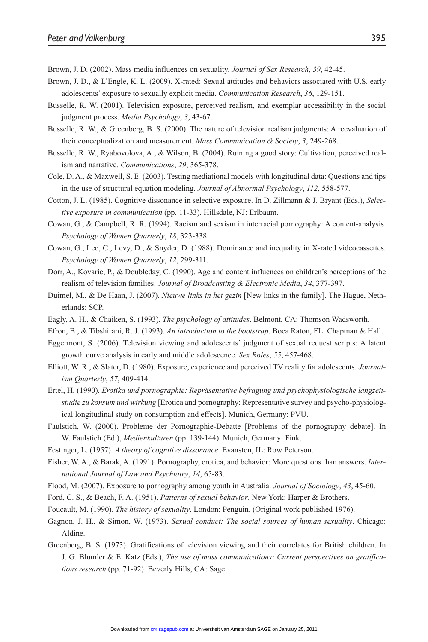Brown, J. D. (2002). Mass media influences on sexuality. *Journal of Sex Research*, *39*, 42-45.

- Brown, J. D., & L'Engle, K. L. (2009). X-rated: Sexual attitudes and behaviors associated with U.S. early adolescents' exposure to sexually explicit media. *Communication Research*, *36*, 129-151.
- Busselle, R. W. (2001). Television exposure, perceived realism, and exemplar accessibility in the social judgment process. *Media Psychology*, *3*, 43-67.
- Busselle, R. W., & Greenberg, B. S. (2000). The nature of television realism judgments: A reevaluation of their conceptualization and measurement. *Mass Communication & Society*, *3*, 249-268.
- Busselle, R. W., Ryabovolova, A., & Wilson, B. (2004). Ruining a good story: Cultivation, perceived realism and narrative. *Communications*, *29*, 365-378.
- Cole, D. A., & Maxwell, S. E. (2003). Testing mediational models with longitudinal data: Questions and tips in the use of structural equation modeling. *Journal of Abnormal Psychology*, *112*, 558-577.
- Cotton, J. L. (1985). Cognitive dissonance in selective exposure. In D. Zillmann & J. Bryant (Eds.), *Selective exposure in communication* (pp. 11-33). Hillsdale, NJ: Erlbaum.
- Cowan, G., & Campbell, R. R. (1994). Racism and sexism in interracial pornography: A content-analysis. *Psychology of Women Quarterly*, *18*, 323-338.
- Cowan, G., Lee, C., Levy, D., & Snyder, D. (1988). Dominance and inequality in X-rated videocassettes. *Psychology of Women Quarterly*, *12*, 299-311.
- Dorr, A., Kovaric, P., & Doubleday, C. (1990). Age and content influences on children's perceptions of the realism of television families. *Journal of Broadcasting & Electronic Media*, *34*, 377-397.
- Duimel, M., & De Haan, J. (2007). *Nieuwe links in het gezin* [New links in the family]. The Hague, Netherlands: SCP.
- Eagly, A. H., & Chaiken, S. (1993). *The psychology of attitudes*. Belmont, CA: Thomson Wadsworth.
- Efron, B., & Tibshirani, R. J. (1993). *An introduction to the bootstrap*. Boca Raton, FL: Chapman & Hall.
- Eggermont, S. (2006). Television viewing and adolescents' judgment of sexual request scripts: A latent growth curve analysis in early and middle adolescence. *Sex Roles*, *55*, 457-468.
- Elliott, W. R., & Slater, D. (1980). Exposure, experience and perceived TV reality for adolescents. *Journalism Quarterly*, *57*, 409-414.
- Ertel, H. (1990). *Erotika und pornographie: Repräsentative befragung und psychophysiologische langzeitstudie zu konsum und wirkung* [Erotica and pornography: Representative survey and psycho-physiological longitudinal study on consumption and effects]. Munich, Germany: PVU.
- Faulstich, W. (2000). Probleme der Pornographie-Debatte [Problems of the pornography debate]. In W. Faulstich (Ed.), *Medienkulturen* (pp. 139-144). Munich, Germany: Fink.
- Festinger, L. (1957). *A theory of cognitive dissonance*. Evanston, IL: Row Peterson.
- Fisher, W. A., & Barak, A. (1991). Pornography, erotica, and behavior: More questions than answers. *International Journal of Law and Psychiatry*, *14*, 65-83.
- Flood, M. (2007). Exposure to pornography among youth in Australia. *Journal of Sociology*, *43*, 45-60.
- Ford, C. S., & Beach, F. A. (1951). *Patterns of sexual behavior*. New York: Harper & Brothers.
- Foucault, M. (1990). *The history of sexuality*. London: Penguin. (Original work published 1976).
- Gagnon, J. H., & Simon, W. (1973). *Sexual conduct: The social sources of human sexuality*. Chicago: Aldine.
- Greenberg, B. S. (1973). Gratifications of television viewing and their correlates for British children. In J. G. Blumler & E. Katz (Eds.), *The use of mass communications: Current perspectives on gratifications research* (pp. 71-92). Beverly Hills, CA: Sage.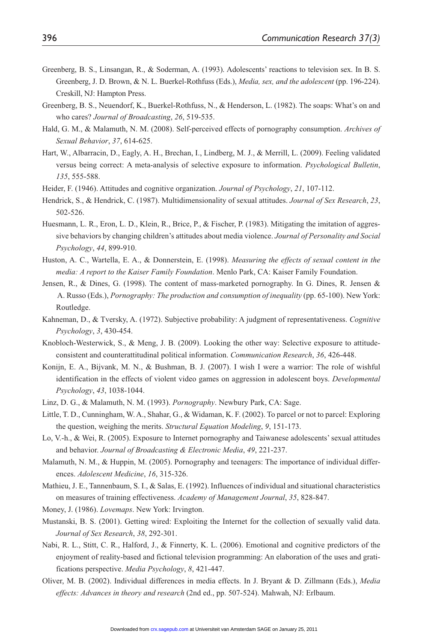- Greenberg, B. S., Linsangan, R., & Soderman, A. (1993). Adolescents' reactions to television sex. In B. S. Greenberg, J. D. Brown, & N. L. Buerkel-Rothfuss (Eds.), *Media, sex, and the adolescent* (pp. 196-224). Creskill, NJ: Hampton Press.
- Greenberg, B. S., Neuendorf, K., Buerkel-Rothfuss, N., & Henderson, L. (1982). The soaps: What's on and who cares? *Journal of Broadcasting*, *26*, 519-535.
- Hald, G. M., & Malamuth, N. M. (2008). Self-perceived effects of pornography consumption. *Archives of Sexual Behavior*, *37*, 614-625.
- Hart, W., Albarracin, D., Eagly, A. H., Brechan, I., Lindberg, M. J., & Merrill, L. (2009). Feeling validated versus being correct: A meta-analysis of selective exposure to information. *Psychological Bulletin*, *135*, 555-588.
- Heider, F. (1946). Attitudes and cognitive organization. *Journal of Psychology*, *21*, 107-112.
- Hendrick, S., & Hendrick, C. (1987). Multidimensionality of sexual attitudes. *Journal of Sex Research*, *23*, 502-526.
- Huesmann, L. R., Eron, L. D., Klein, R., Brice, P., & Fischer, P. (1983). Mitigating the imitation of aggressive behaviors by changing children's attitudes about media violence. *Journal of Personality and Social Psychology*, *44*, 899-910.
- Huston, A. C., Wartella, E. A., & Donnerstein, E. (1998). *Measuring the effects of sexual content in the media: A report to the Kaiser Family Foundation*. Menlo Park, CA: Kaiser Family Foundation.
- Jensen, R., & Dines, G. (1998). The content of mass-marketed pornography. In G. Dines, R. Jensen & A. Russo (Eds.), *Pornography: The production and consumption of inequality* (pp. 65-100). New York: Routledge.
- Kahneman, D., & Tversky, A. (1972). Subjective probability: A judgment of representativeness. *Cognitive Psychology*, *3*, 430-454.
- Knobloch-Westerwick, S., & Meng, J. B. (2009). Looking the other way: Selective exposure to attitudeconsistent and counterattitudinal political information. *Communication Research*, *36*, 426-448.
- Konijn, E. A., Bijvank, M. N., & Bushman, B. J. (2007). I wish I were a warrior: The role of wishful identification in the effects of violent video games on aggression in adolescent boys. *Developmental Psychology*, *43*, 1038-1044.
- Linz, D. G., & Malamuth, N. M. (1993). *Pornography*. Newbury Park, CA: Sage.
- Little, T. D., Cunningham, W. A., Shahar, G., & Widaman, K. F. (2002). To parcel or not to parcel: Exploring the question, weighing the merits. *Structural Equation Modeling*, *9*, 151-173.
- Lo, V.-h., & Wei, R. (2005). Exposure to Internet pornography and Taiwanese adolescents' sexual attitudes and behavior. *Journal of Broadcasting & Electronic Media*, *49*, 221-237.
- Malamuth, N. M., & Huppin, M. (2005). Pornography and teenagers: The importance of individual differences. *Adolescent Medicine*, *16*, 315-326.
- Mathieu, J. E., Tannenbaum, S. I., & Salas, E. (1992). Influences of individual and situational characteristics on measures of training effectiveness. *Academy of Management Journal*, *35*, 828-847.
- Money, J. (1986). *Lovemaps*. New York: Irvington.
- Mustanski, B. S. (2001). Getting wired: Exploiting the Internet for the collection of sexually valid data. *Journal of Sex Research*, *38*, 292-301.
- Nabi, R. L., Stitt, C. R., Halford, J., & Finnerty, K. L. (2006). Emotional and cognitive predictors of the enjoyment of reality-based and fictional television programming: An elaboration of the uses and gratifications perspective. *Media Psychology*, *8*, 421-447.
- Oliver, M. B. (2002). Individual differences in media effects. In J. Bryant & D. Zillmann (Eds.), *Media effects: Advances in theory and research* (2nd ed., pp. 507-524). Mahwah, NJ: Erlbaum.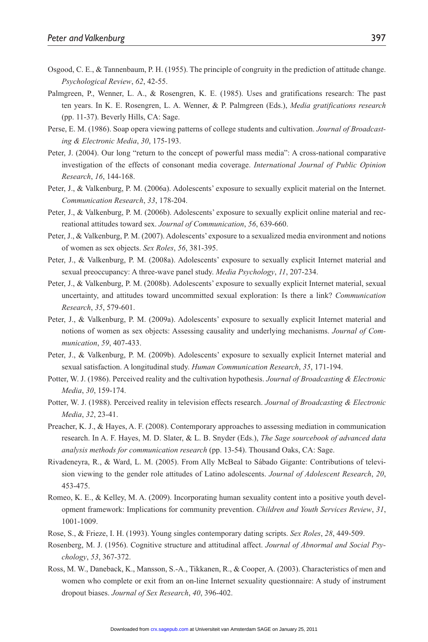- Osgood, C. E., & Tannenbaum, P. H. (1955). The principle of congruity in the prediction of attitude change. *Psychological Review*, *62*, 42-55.
- Palmgreen, P., Wenner, L. A., & Rosengren, K. E. (1985). Uses and gratifications research: The past ten years. In K. E. Rosengren, L. A. Wenner, & P. Palmgreen (Eds.), *Media gratifications research* (pp. 11-37). Beverly Hills, CA: Sage.
- Perse, E. M. (1986). Soap opera viewing patterns of college students and cultivation. *Journal of Broadcasting & Electronic Media*, *30*, 175-193.
- Peter, J. (2004). Our long "return to the concept of powerful mass media": A cross-national comparative investigation of the effects of consonant media coverage. *International Journal of Public Opinion Research*, *16*, 144-168.
- Peter, J., & Valkenburg, P. M. (2006a). Adolescents' exposure to sexually explicit material on the Internet. *Communication Research*, *33*, 178-204.
- Peter, J., & Valkenburg, P. M. (2006b). Adolescents' exposure to sexually explicit online material and recreational attitudes toward sex. *Journal of Communication*, *56*, 639-660.
- Peter, J., & Valkenburg, P. M. (2007). Adolescents' exposure to a sexualized media environment and notions of women as sex objects. *Sex Roles*, *56*, 381-395.
- Peter, J., & Valkenburg, P. M. (2008a). Adolescents' exposure to sexually explicit Internet material and sexual preoccupancy: A three-wave panel study. *Media Psychology*, *11*, 207-234.
- Peter, J., & Valkenburg, P. M. (2008b). Adolescents' exposure to sexually explicit Internet material, sexual uncertainty, and attitudes toward uncommitted sexual exploration: Is there a link? *Communication Research*, *35*, 579-601.
- Peter, J., & Valkenburg, P. M. (2009a). Adolescents' exposure to sexually explicit Internet material and notions of women as sex objects: Assessing causality and underlying mechanisms. *Journal of Communication*, *59*, 407-433.
- Peter, J., & Valkenburg, P. M. (2009b). Adolescents' exposure to sexually explicit Internet material and sexual satisfaction. A longitudinal study. *Human Communication Research*, *35*, 171-194.
- Potter, W. J. (1986). Perceived reality and the cultivation hypothesis. *Journal of Broadcasting & Electronic Media*, *30*, 159-174.
- Potter, W. J. (1988). Perceived reality in television effects research. *Journal of Broadcasting & Electronic Media*, *32*, 23-41.
- Preacher, K. J., & Hayes, A. F. (2008). Contemporary approaches to assessing mediation in communication research. In A. F. Hayes, M. D. Slater, & L. B. Snyder (Eds.), *The Sage sourcebook of advanced data analysis methods for communication research* (pp. 13-54). Thousand Oaks, CA: Sage.
- Rivadeneyra, R., & Ward, L. M. (2005). From Ally McBeal to Sábado Gigante: Contributions of television viewing to the gender role attitudes of Latino adolescents. *Journal of Adolescent Research*, *20*, 453-475.
- Romeo, K. E., & Kelley, M. A. (2009). Incorporating human sexuality content into a positive youth development framework: Implications for community prevention. *Children and Youth Services Review*, *31*, 1001-1009.
- Rose, S., & Frieze, I. H. (1993). Young singles contemporary dating scripts. *Sex Roles*, *28*, 449-509.
- Rosenberg, M. J. (1956). Cognitive structure and attitudinal affect. *Journal of Abnormal and Social Psychology*, *53*, 367-372.
- Ross, M. W., Daneback, K., Mansson, S.-A., Tikkanen, R., & Cooper, A. (2003). Characteristics of men and women who complete or exit from an on-line Internet sexuality questionnaire: A study of instrument dropout biases. *Journal of Sex Research*, *40*, 396-402.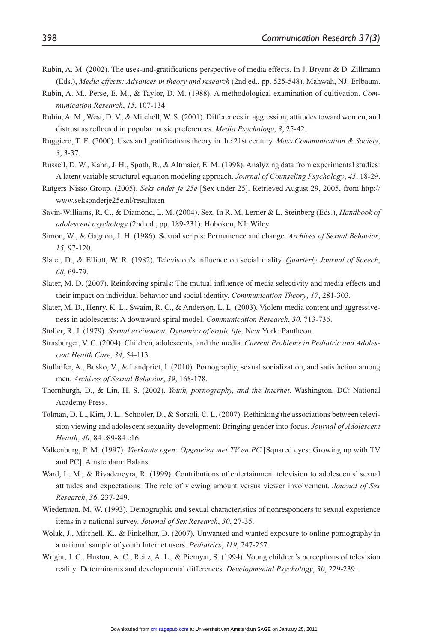- Rubin, A. M. (2002). The uses-and-gratifications perspective of media effects. In J. Bryant & D. Zillmann (Eds.), *Media effects: Advances in theory and research* (2nd ed., pp. 525-548). Mahwah, NJ: Erlbaum.
- Rubin, A. M., Perse, E. M., & Taylor, D. M. (1988). A methodological examination of cultivation. *Communication Research*, *15*, 107-134.
- Rubin, A. M., West, D. V., & Mitchell, W. S. (2001). Differences in aggression, attitudes toward women, and distrust as reflected in popular music preferences. *Media Psychology*, *3*, 25-42.
- Ruggiero, T. E. (2000). Uses and gratifications theory in the 21st century. *Mass Communication & Society*, *3*, 3-37.
- Russell, D. W., Kahn, J. H., Spoth, R., & Altmaier, E. M. (1998). Analyzing data from experimental studies: A latent variable structural equation modeling approach. *Journal of Counseling Psychology*, *45*, 18-29.
- Rutgers Nisso Group. (2005). *Seks onder je 25e* [Sex under 25]. Retrieved August 29, 2005, from http:// www.seksonderje25e.nl/resultaten
- Savin-Williams, R. C., & Diamond, L. M. (2004). Sex. In R. M. Lerner & L. Steinberg (Eds.), *Handbook of adolescent psychology* (2nd ed., pp. 189-231). Hoboken, NJ: Wiley.
- Simon, W., & Gagnon, J. H. (1986). Sexual scripts: Permanence and change. *Archives of Sexual Behavior*, *15*, 97-120.
- Slater, D., & Elliott, W. R. (1982). Television's influence on social reality. *Quarterly Journal of Speech*, *68*, 69-79.
- Slater, M. D. (2007). Reinforcing spirals: The mutual influence of media selectivity and media effects and their impact on individual behavior and social identity. *Communication Theory*, *17*, 281-303.
- Slater, M. D., Henry, K. L., Swaim, R. C., & Anderson, L. L. (2003). Violent media content and aggressiveness in adolescents: A downward spiral model. *Communication Research*, *30*, 713-736.
- Stoller, R. J. (1979). *Sexual excitement. Dynamics of erotic life*. New York: Pantheon.
- Strasburger, V. C. (2004). Children, adolescents, and the media. *Current Problems in Pediatric and Adolescent Health Care*, *34*, 54-113.
- Stulhofer, A., Busko, V., & Landpriet, I. (2010). Pornography, sexual socialization, and satisfaction among men. *Archives of Sexual Behavior*, *39*, 168-178.
- Thornburgh, D., & Lin, H. S. (2002). *Youth, pornography, and the Internet*. Washington, DC: National Academy Press.
- Tolman, D. L., Kim, J. L., Schooler, D., & Sorsoli, C. L. (2007). Rethinking the associations between television viewing and adolescent sexuality development: Bringing gender into focus. *Journal of Adolescent Health*, *40*, 84.e89-84.e16.
- Valkenburg, P. M. (1997). *Vierkante ogen: Opgroeien met TV en PC* [Squared eyes: Growing up with TV and PC]. Amsterdam: Balans.
- Ward, L. M., & Rivadeneyra, R. (1999). Contributions of entertainment television to adolescents' sexual attitudes and expectations: The role of viewing amount versus viewer involvement. *Journal of Sex Research*, *36*, 237-249.
- Wiederman, M. W. (1993). Demographic and sexual characteristics of nonresponders to sexual experience items in a national survey. *Journal of Sex Research*, *30*, 27-35.
- Wolak, J., Mitchell, K., & Finkelhor, D. (2007). Unwanted and wanted exposure to online pornography in a national sample of youth Internet users. *Pediatrics*, *119*, 247-257.
- Wright, J. C., Huston, A. C., Reitz, A. L., & Piemyat, S. (1994). Young children's perceptions of television reality: Determinants and developmental differences. *Developmental Psychology*, *30*, 229-239.